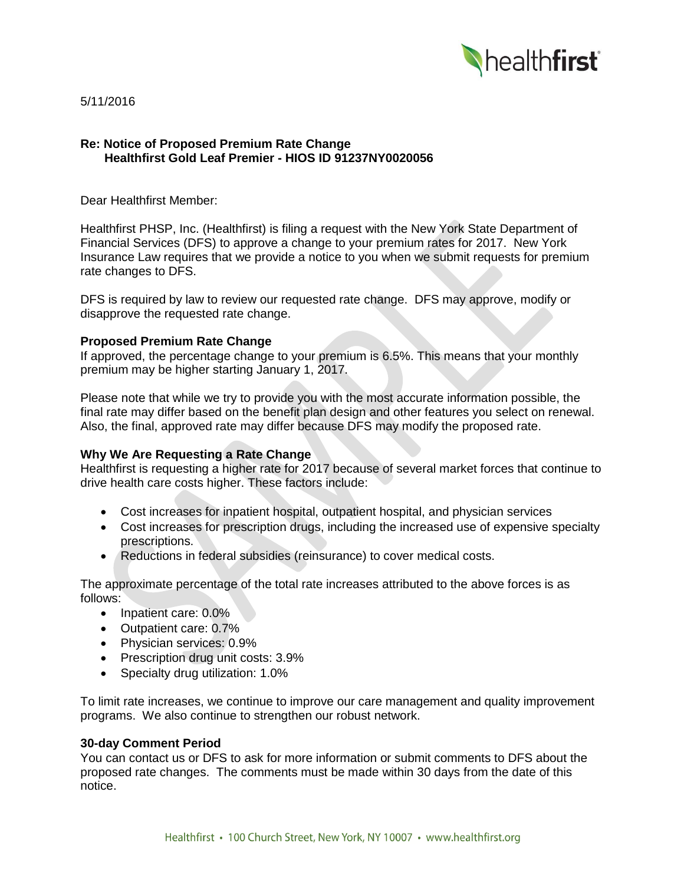

5/11/2016

# **Re: Notice of Proposed Premium Rate Change Healthfirst Gold Leaf Premier - HIOS ID 91237NY0020056**

Dear Healthfirst Member:

Healthfirst PHSP, Inc. (Healthfirst) is filing a request with the New York State Department of Financial Services (DFS) to approve a change to your premium rates for 2017. New York Insurance Law requires that we provide a notice to you when we submit requests for premium rate changes to DFS.

DFS is required by law to review our requested rate change. DFS may approve, modify or disapprove the requested rate change.

# **Proposed Premium Rate Change**

If approved, the percentage change to your premium is 6.5%. This means that your monthly premium may be higher starting January 1, 2017.

Please note that while we try to provide you with the most accurate information possible, the final rate may differ based on the benefit plan design and other features you select on renewal. Also, the final, approved rate may differ because DFS may modify the proposed rate.

# **Why We Are Requesting a Rate Change**

Healthfirst is requesting a higher rate for 2017 because of several market forces that continue to drive health care costs higher. These factors include:

- Cost increases for inpatient hospital, outpatient hospital, and physician services
- Cost increases for prescription drugs, including the increased use of expensive specialty prescriptions.
- Reductions in federal subsidies (reinsurance) to cover medical costs.

The approximate percentage of the total rate increases attributed to the above forces is as follows:

- Inpatient care: 0.0%
- Outpatient care: 0.7%
- Physician services: 0.9%
- Prescription drug unit costs: 3.9%
- Specialty drug utilization: 1.0%

To limit rate increases, we continue to improve our care management and quality improvement programs. We also continue to strengthen our robust network.

### **30-day Comment Period**

You can contact us or DFS to ask for more information or submit comments to DFS about the proposed rate changes. The comments must be made within 30 days from the date of this notice.